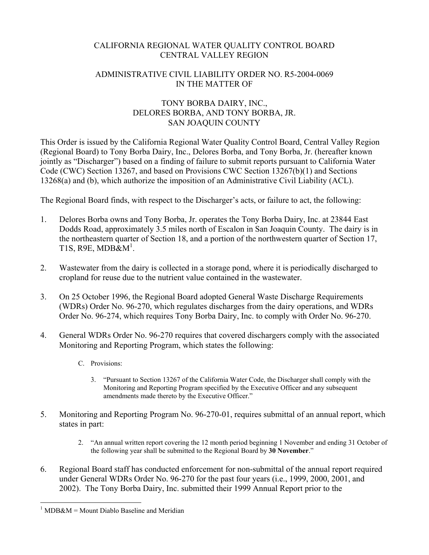## CALIFORNIA REGIONAL WATER QUALITY CONTROL BOARD CENTRAL VALLEY REGION

## ADMINISTRATIVE CIVIL LIABILITY ORDER NO. R5-2004-0069 IN THE MATTER OF

## TONY BORBA DAIRY, INC., DELORES BORBA, AND TONY BORBA, JR. SAN JOAQUIN COUNTY

This Order is issued by the California Regional Water Quality Control Board, Central Valley Region (Regional Board) to Tony Borba Dairy, Inc., Delores Borba, and Tony Borba, Jr. (hereafter known jointly as "Discharger") based on a finding of failure to submit reports pursuant to California Water Code (CWC) Section 13267, and based on Provisions CWC Section 13267(b)(1) and Sections 13268(a) and (b), which authorize the imposition of an Administrative Civil Liability (ACL).

The Regional Board finds, with respect to the Discharger's acts, or failure to act, the following:

- 1. Delores Borba owns and Tony Borba, Jr. operates the Tony Borba Dairy, Inc. at 23844 East Dodds Road, approximately 3.5 miles north of Escalon in San Joaquin County. The dairy is in the northeastern quarter of Section 18, and a portion of the northwestern quarter of Section 17, T1S, R9E, MDB& $M^1$ .
- 2. Wastewater from the dairy is collected in a storage pond, where it is periodically discharged to cropland for reuse due to the nutrient value contained in the wastewater.
- 3. On 25 October 1996, the Regional Board adopted General Waste Discharge Requirements (WDRs) Order No. 96-270, which regulates discharges from the dairy operations, and WDRs Order No. 96-274, which requires Tony Borba Dairy, Inc. to comply with Order No. 96-270.
- 4. General WDRs Order No. 96-270 requires that covered dischargers comply with the associated Monitoring and Reporting Program, which states the following:
	- C. Provisions:
		- 3. "Pursuant to Section 13267 of the California Water Code, the Discharger shall comply with the Monitoring and Reporting Program specified by the Executive Officer and any subsequent amendments made thereto by the Executive Officer."
- 5. Monitoring and Reporting Program No. 96-270-01, requires submittal of an annual report, which states in part:
	- 2. "An annual written report covering the 12 month period beginning 1 November and ending 31 October of the following year shall be submitted to the Regional Board by **30 November**."
- 6. Regional Board staff has conducted enforcement for non-submittal of the annual report required under General WDRs Order No. 96-270 for the past four years (i.e., 1999, 2000, 2001, and 2002). The Tony Borba Dairy, Inc. submitted their 1999 Annual Report prior to the

 $\overline{a}$  $1$  MDB&M = Mount Diablo Baseline and Meridian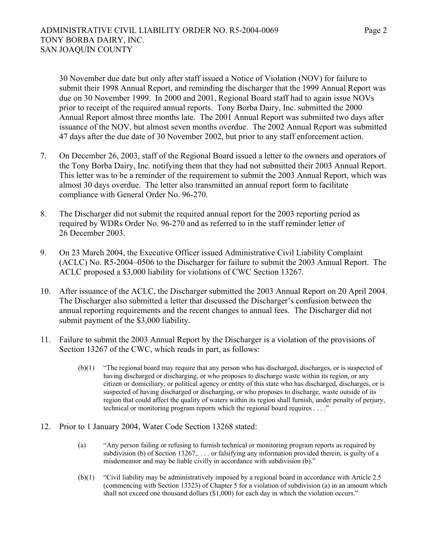30 November due date but only after staff issued a Notice of Violation (NOV) for failure to submit their 1998 Annual Report, and reminding the discharger that the 1999 Annual Report was due on 30 November 1999. In 2000 and 2001, Regional Board staff had to again issue NOVs prior to receipt of the required annual reports. Tony Borba Dairy, Inc. submitted the 2000 Annual Report almost three months late. The 2001 Annual Report was submitted two days after issuance of the NOV, but almost seven months overdue. The 2002 Annual Report was submitted 47 days after the due date of 30 November 2002, but prior to any staff enforcement action.

- 7. On December 26, 2003, staff of the Regional Board issued a letter to the owners and operators of the Tony Borba Dairy, Inc. notifying them that they had not submitted their 2003 Annual Report. This letter was to be a reminder of the requirement to submit the 2003 Annual Report, which was almost 30 days overdue. The letter also transmitted an annual report form to facilitate compliance with General Order No. 96-270.
- 8. The Discharger did not submit the required annual report for the 2003 reporting period as required by WDRs Order No. 96-270 and as referred to in the staff reminder letter of 26 December 2003.
- 9. On 23 March 2004, the Executive Officer issued Administrative Civil Liability Complaint (ACLC) No. R5-2004–0506 to the Discharger for failure to submit the 2003 Annual Report. The ACLC proposed a \$3,000 liability for violations of CWC Section 13267.
- 10. After issuance of the ACLC, the Discharger submitted the 2003 Annual Report on 20 April 2004. The Discharger also submitted a letter that discussed the Discharger's confusion between the annual reporting requirements and the recent changes to annual fees. The Discharger did not submit payment of the \$3,000 liability.
- 11. Failure to submit the 2003 Annual Report by the Discharger is a violation of the provisions of Section 13267 of the CWC, which reads in part, as follows:
	- (b)(1) "The regional board may require that any person who has discharged, discharges, or is suspected of having discharged or discharging, or who proposes to discharge waste within its region, or any citizen or domiciliary, or political agency or entity of this state who has discharged, discharges, or is suspected of having discharged or discharging, or who proposes to discharge, waste outside of its region that could affect the quality of waters within its region shall furnish, under penalty of perjury, technical or monitoring program reports which the regional board requires . . . ."
- 12. Prior to 1 January 2004, Water Code Section 13268 stated:
	- (a) "Any person failing or refusing to furnish technical or monitoring program reports as required by subdivision (b) of Section 13267, $\dots$  or falsifying any information provided therein, is guilty of a misdemeanor and may be liable civilly in accordance with subdivision (b)."
	- (b)(1) "Civil liability may be administratively imposed by a regional board in accordance with Article 2.5 (commencing with Section 13323) of Chapter 5 for a violation of subdivision (a) in an amount which shall not exceed one thousand dollars (\$1,000) for each day in which the violation occurs."